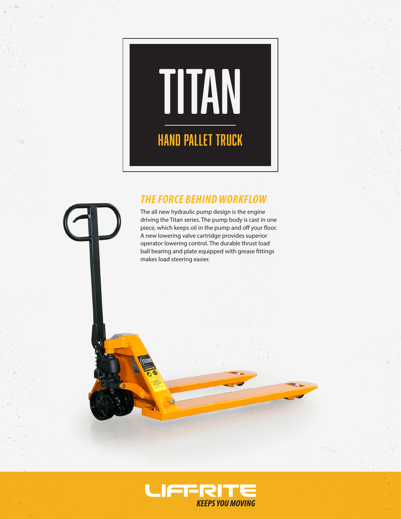# Titan Hand Pallet Truck

# *THE FORCE BEHIND WORKFLOW*

The all new hydraulic pump design is the engine driving the Titan series. The pump body is cast in one piece, which keeps oil in the pump and off your floor. A new lowering valve cartridge provides superior operator lowering control. The durable thrust load ball bearing and plate equipped with grease fittings makes load steering easier.